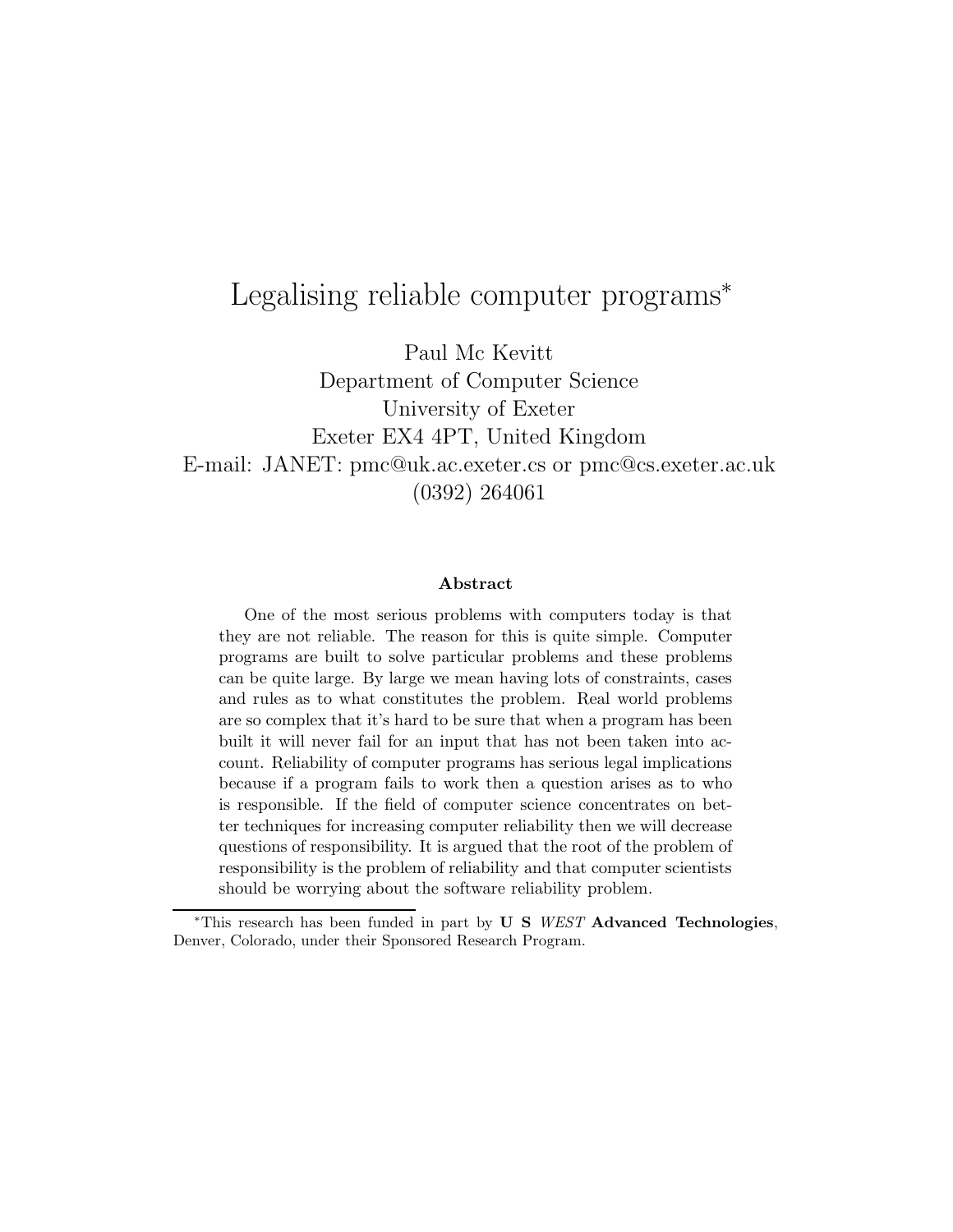# Legalising reliable computer programs<sup>∗</sup>

Paul Mc Kevitt

Department of Computer Science University of Exeter Exeter EX4 4PT, United Kingdom E-mail: JANET: pmc@uk.ac.exeter.cs or pmc@cs.exeter.ac.uk (0392) 264061

#### Abstract

One of the most serious problems with computers today is that they are not reliable. The reason for this is quite simple. Computer programs are built to solve particular problems and these problems can be quite large. By large we mean having lots of constraints, cases and rules as to what constitutes the problem. Real world problems are so complex that it's hard to be sure that when a program has been built it will never fail for an input that has not been taken into account. Reliability of computer programs has serious legal implications because if a program fails to work then a question arises as to who is responsible. If the field of computer science concentrates on better techniques for increasing computer reliability then we will decrease questions of responsibility. It is argued that the root of the problem of responsibility is the problem of reliability and that computer scientists should be worrying about the software reliability problem.

<sup>∗</sup>This research has been funded in part by U S WEST Advanced Technologies, Denver, Colorado, under their Sponsored Research Program.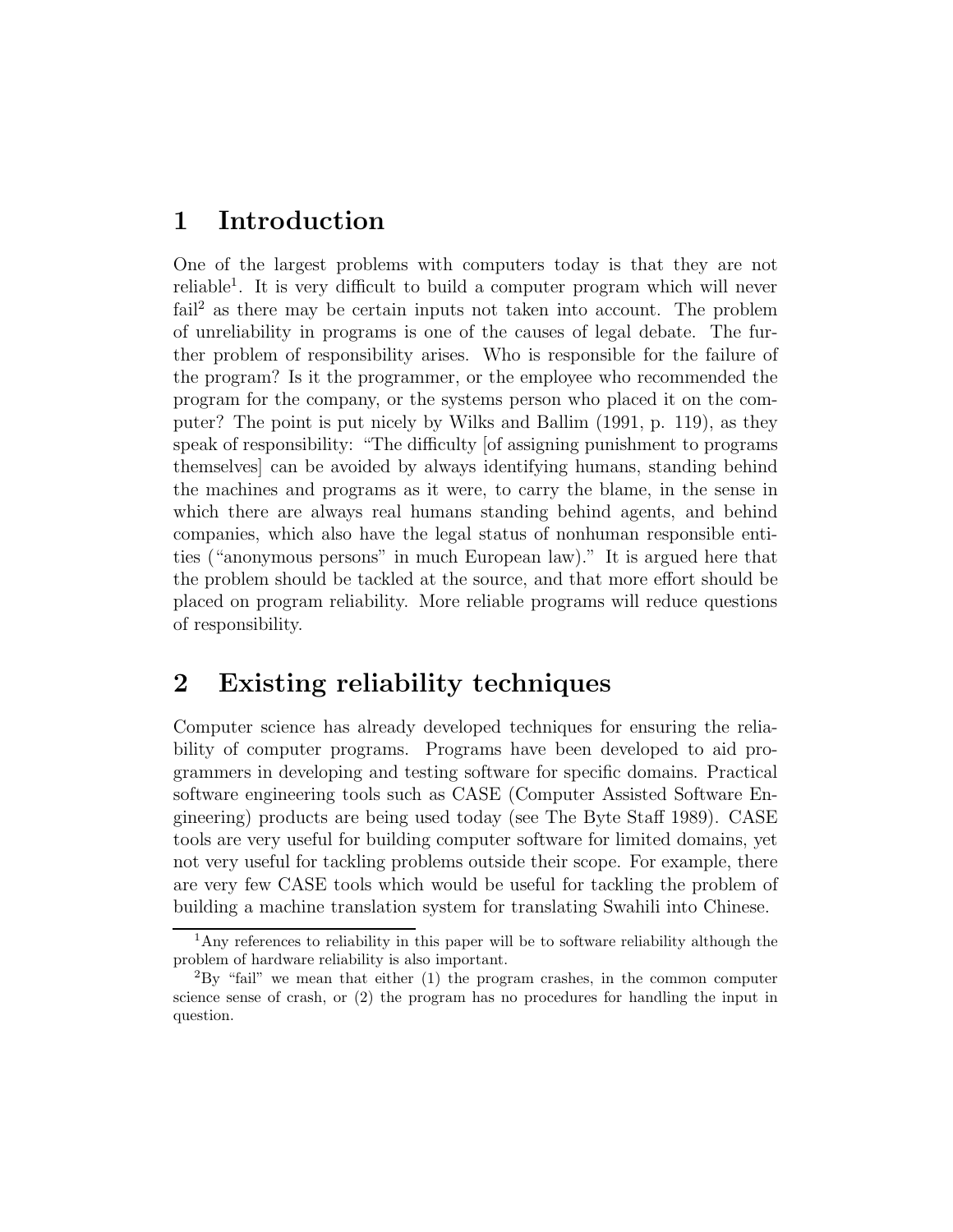### 1 Introduction

One of the largest problems with computers today is that they are not reliable<sup>1</sup> . It is very difficult to build a computer program which will never fail<sup>2</sup> as there may be certain inputs not taken into account. The problem of unreliability in programs is one of the causes of legal debate. The further problem of responsibility arises. Who is responsible for the failure of the program? Is it the programmer, or the employee who recommended the program for the company, or the systems person who placed it on the computer? The point is put nicely by Wilks and Ballim (1991, p. 119), as they speak of responsibility: "The difficulty [of assigning punishment to programs themselves] can be avoided by always identifying humans, standing behind the machines and programs as it were, to carry the blame, in the sense in which there are always real humans standing behind agents, and behind companies, which also have the legal status of nonhuman responsible entities ("anonymous persons" in much European law)." It is argued here that the problem should be tackled at the source, and that more effort should be placed on program reliability. More reliable programs will reduce questions of responsibility.

## 2 Existing reliability techniques

Computer science has already developed techniques for ensuring the reliability of computer programs. Programs have been developed to aid programmers in developing and testing software for specific domains. Practical software engineering tools such as CASE (Computer Assisted Software Engineering) products are being used today (see The Byte Staff 1989). CASE tools are very useful for building computer software for limited domains, yet not very useful for tackling problems outside their scope. For example, there are very few CASE tools which would be useful for tackling the problem of building a machine translation system for translating Swahili into Chinese.

<sup>&</sup>lt;sup>1</sup>Any references to reliability in this paper will be to software reliability although the problem of hardware reliability is also important.

 ${}^{2}_{2}$ By "fail" we mean that either (1) the program crashes, in the common computer science sense of crash, or (2) the program has no procedures for handling the input in question.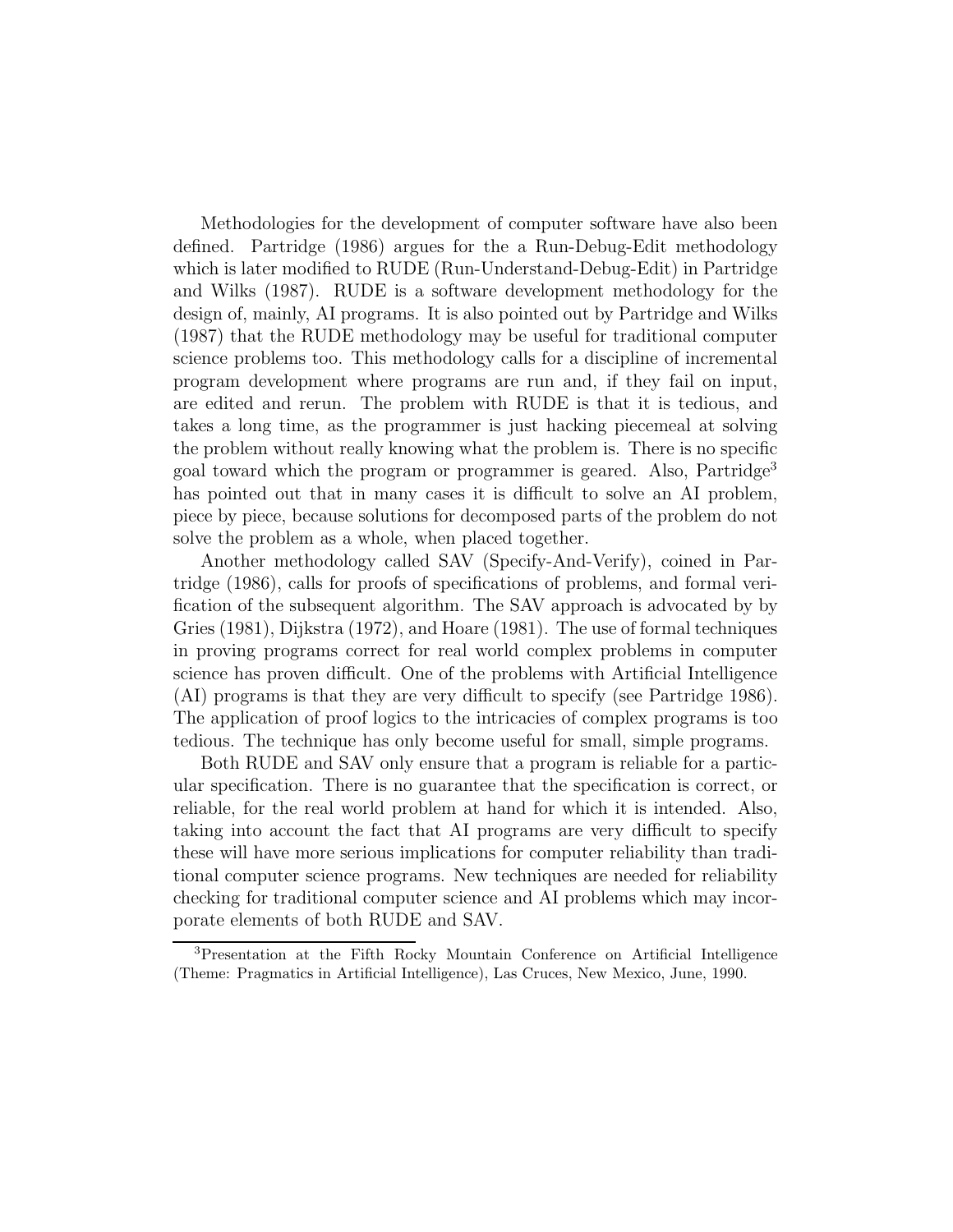Methodologies for the development of computer software have also been defined. Partridge (1986) argues for the a Run-Debug-Edit methodology which is later modified to RUDE (Run-Understand-Debug-Edit) in Partridge and Wilks (1987). RUDE is a software development methodology for the design of, mainly, AI programs. It is also pointed out by Partridge and Wilks (1987) that the RUDE methodology may be useful for traditional computer science problems too. This methodology calls for a discipline of incremental program development where programs are run and, if they fail on input, are edited and rerun. The problem with RUDE is that it is tedious, and takes a long time, as the programmer is just hacking piecemeal at solving the problem without really knowing what the problem is. There is no specific goal toward which the program or programmer is geared. Also, Partridge<sup>3</sup> has pointed out that in many cases it is difficult to solve an AI problem, piece by piece, because solutions for decomposed parts of the problem do not solve the problem as a whole, when placed together.

Another methodology called SAV (Specify-And-Verify), coined in Partridge (1986), calls for proofs of specifications of problems, and formal verification of the subsequent algorithm. The SAV approach is advocated by by Gries (1981), Dijkstra (1972), and Hoare (1981). The use of formal techniques in proving programs correct for real world complex problems in computer science has proven difficult. One of the problems with Artificial Intelligence (AI) programs is that they are very difficult to specify (see Partridge 1986). The application of proof logics to the intricacies of complex programs is too tedious. The technique has only become useful for small, simple programs.

Both RUDE and SAV only ensure that a program is reliable for a particular specification. There is no guarantee that the specification is correct, or reliable, for the real world problem at hand for which it is intended. Also, taking into account the fact that AI programs are very difficult to specify these will have more serious implications for computer reliability than traditional computer science programs. New techniques are needed for reliability checking for traditional computer science and AI problems which may incorporate elements of both RUDE and SAV.

<sup>3</sup>Presentation at the Fifth Rocky Mountain Conference on Artificial Intelligence (Theme: Pragmatics in Artificial Intelligence), Las Cruces, New Mexico, June, 1990.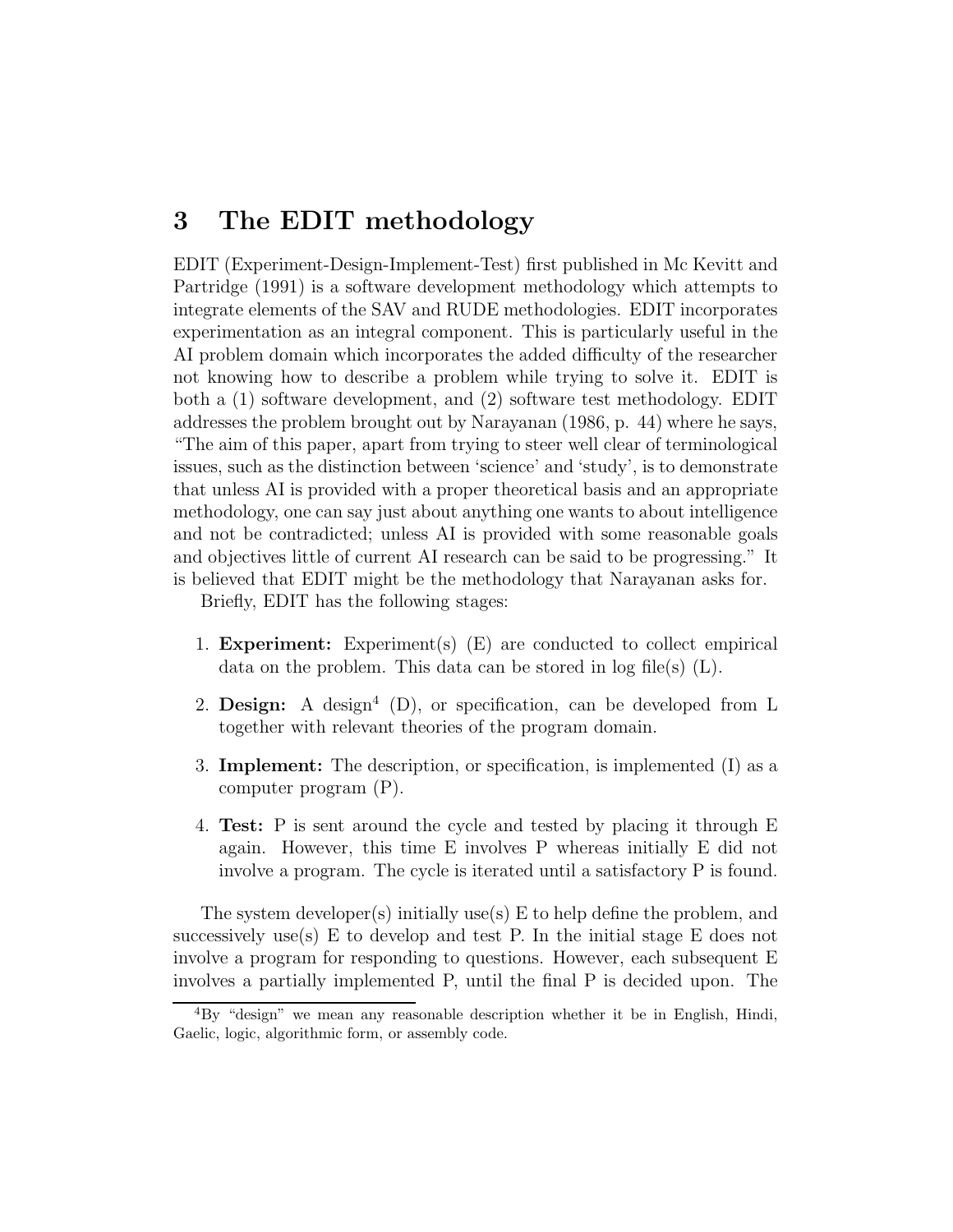#### 3 The EDIT methodology

EDIT (Experiment-Design-Implement-Test) first published in Mc Kevitt and Partridge (1991) is a software development methodology which attempts to integrate elements of the SAV and RUDE methodologies. EDIT incorporates experimentation as an integral component. This is particularly useful in the AI problem domain which incorporates the added difficulty of the researcher not knowing how to describe a problem while trying to solve it. EDIT is both a (1) software development, and (2) software test methodology. EDIT addresses the problem brought out by Narayanan (1986, p. 44) where he says, "The aim of this paper, apart from trying to steer well clear of terminological issues, such as the distinction between 'science' and 'study', is to demonstrate that unless AI is provided with a proper theoretical basis and an appropriate methodology, one can say just about anything one wants to about intelligence and not be contradicted; unless AI is provided with some reasonable goals and objectives little of current AI research can be said to be progressing." It is believed that EDIT might be the methodology that Narayanan asks for.

Briefly, EDIT has the following stages:

- 1. **Experiment:** Experiment(s)  $(E)$  are conducted to collect empirical data on the problem. This data can be stored in log file(s) (L).
- 2. Design: A design<sup>4</sup> (D), or specification, can be developed from L together with relevant theories of the program domain.
- 3. Implement: The description, or specification, is implemented (I) as a computer program (P).
- 4. Test: P is sent around the cycle and tested by placing it through E again. However, this time E involves P whereas initially E did not involve a program. The cycle is iterated until a satisfactory P is found.

The system developer(s) initially use(s) E to help define the problem, and successively use(s)  $E$  to develop and test P. In the initial stage  $E$  does not involve a program for responding to questions. However, each subsequent E involves a partially implemented P, until the final P is decided upon. The

<sup>4</sup>By "design" we mean any reasonable description whether it be in English, Hindi, Gaelic, logic, algorithmic form, or assembly code.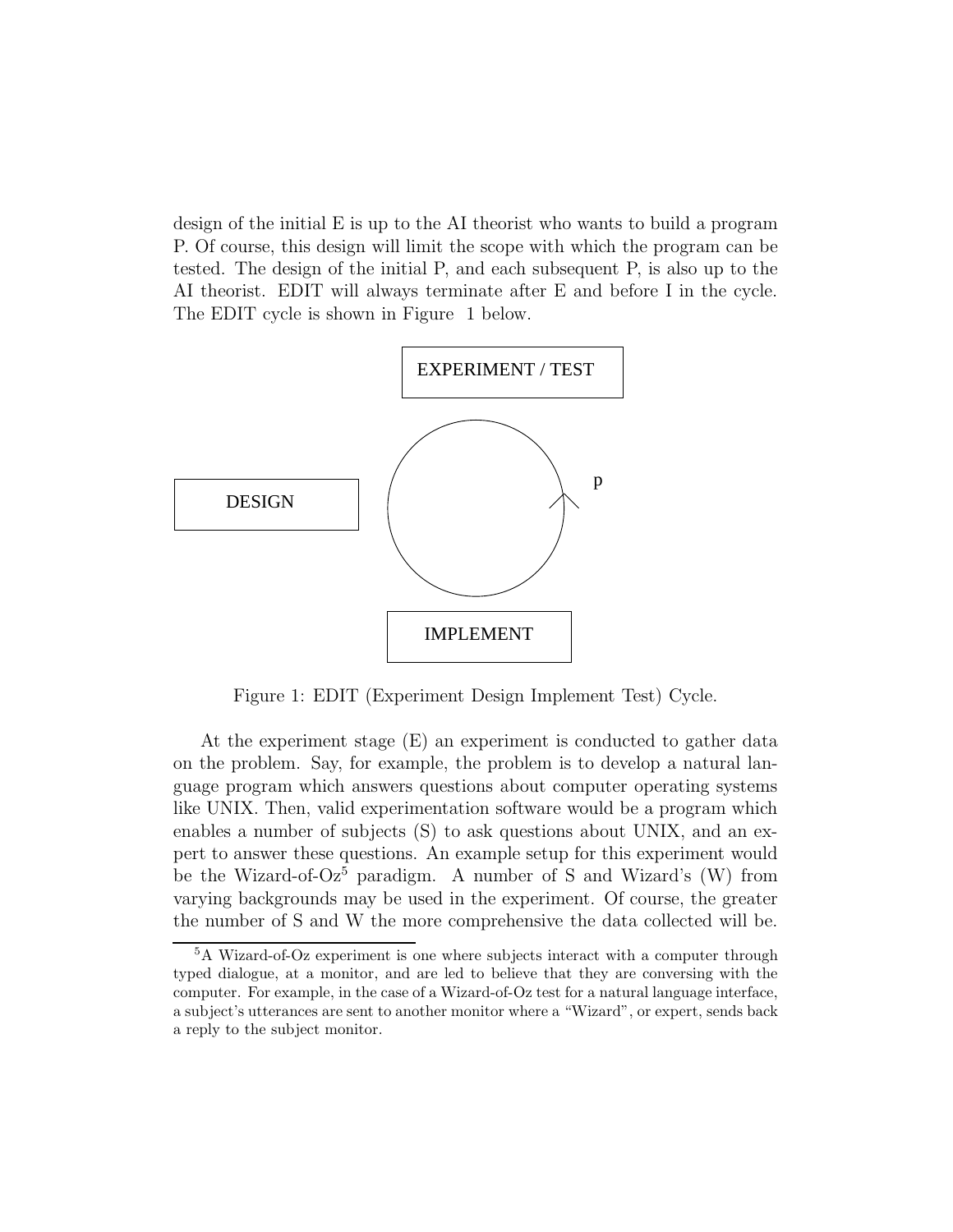design of the initial E is up to the AI theorist who wants to build a program P. Of course, this design will limit the scope with which the program can be tested. The design of the initial P, and each subsequent P, is also up to the AI theorist. EDIT will always terminate after E and before I in the cycle. The EDIT cycle is shown in Figure 1 below.



Figure 1: EDIT (Experiment Design Implement Test) Cycle.

At the experiment stage (E) an experiment is conducted to gather data on the problem. Say, for example, the problem is to develop a natural language program which answers questions about computer operating systems like UNIX. Then, valid experimentation software would be a program which enables a number of subjects (S) to ask questions about UNIX, and an expert to answer these questions. An example setup for this experiment would be the Wizard-of- $Oz^5$  paradigm. A number of S and Wizard's (W) from varying backgrounds may be used in the experiment. Of course, the greater the number of S and W the more comprehensive the data collected will be.

<sup>5</sup>A Wizard-of-Oz experiment is one where subjects interact with a computer through typed dialogue, at a monitor, and are led to believe that they are conversing with the computer. For example, in the case of a Wizard-of-Oz test for a natural language interface, a subject's utterances are sent to another monitor where a "Wizard", or expert, sends back a reply to the subject monitor.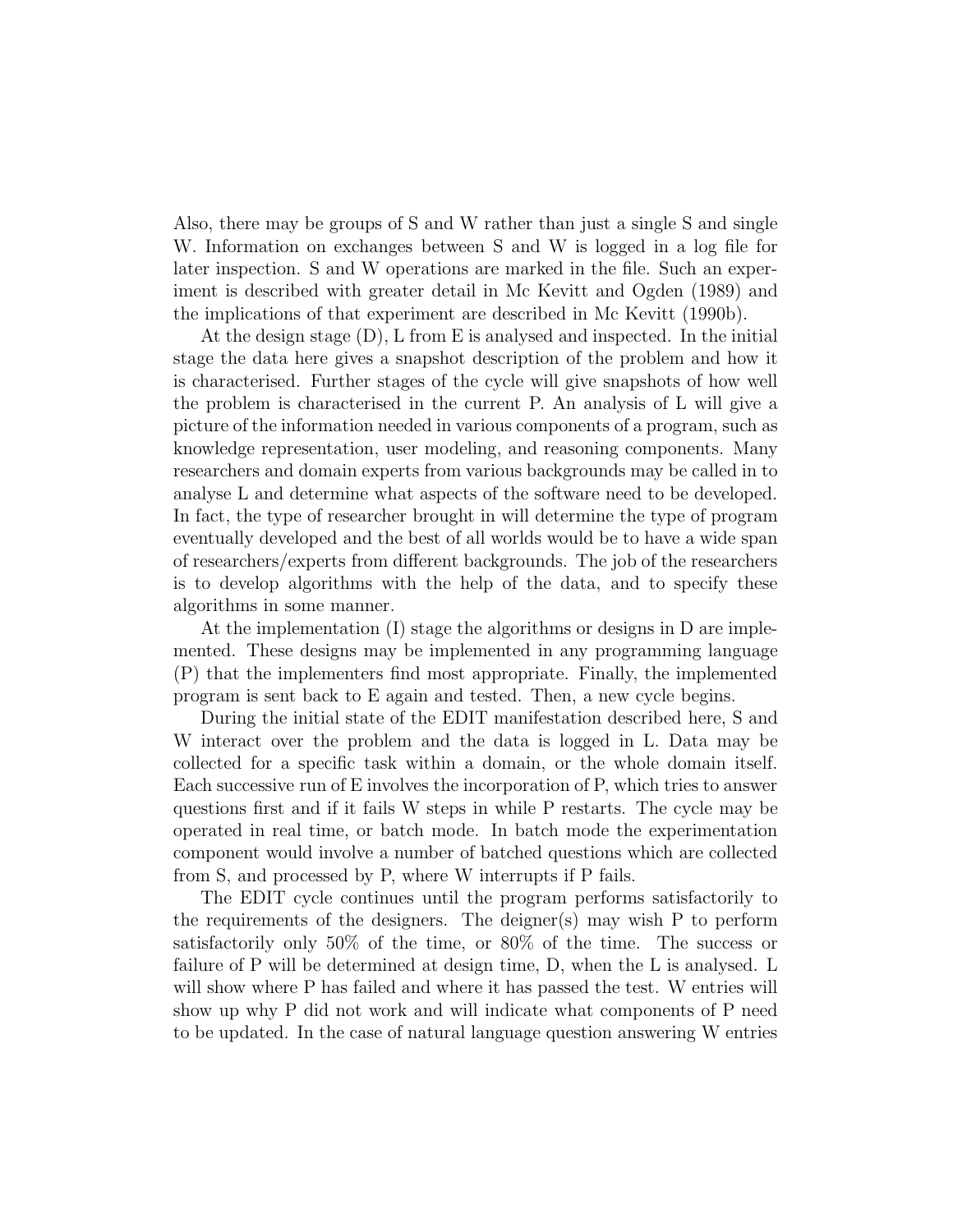Also, there may be groups of S and W rather than just a single S and single W. Information on exchanges between S and W is logged in a log file for later inspection. S and W operations are marked in the file. Such an experiment is described with greater detail in Mc Kevitt and Ogden (1989) and the implications of that experiment are described in Mc Kevitt (1990b).

At the design stage  $(D)$ , L from E is analysed and inspected. In the initial stage the data here gives a snapshot description of the problem and how it is characterised. Further stages of the cycle will give snapshots of how well the problem is characterised in the current P. An analysis of L will give a picture of the information needed in various components of a program, such as knowledge representation, user modeling, and reasoning components. Many researchers and domain experts from various backgrounds may be called in to analyse L and determine what aspects of the software need to be developed. In fact, the type of researcher brought in will determine the type of program eventually developed and the best of all worlds would be to have a wide span of researchers/experts from different backgrounds. The job of the researchers is to develop algorithms with the help of the data, and to specify these algorithms in some manner.

At the implementation (I) stage the algorithms or designs in D are implemented. These designs may be implemented in any programming language (P) that the implementers find most appropriate. Finally, the implemented program is sent back to E again and tested. Then, a new cycle begins.

During the initial state of the EDIT manifestation described here, S and W interact over the problem and the data is logged in L. Data may be collected for a specific task within a domain, or the whole domain itself. Each successive run of E involves the incorporation of P, which tries to answer questions first and if it fails W steps in while P restarts. The cycle may be operated in real time, or batch mode. In batch mode the experimentation component would involve a number of batched questions which are collected from S, and processed by P, where W interrupts if P fails.

The EDIT cycle continues until the program performs satisfactorily to the requirements of the designers. The deigner(s) may wish  $P$  to perform satisfactorily only 50% of the time, or 80% of the time. The success or failure of P will be determined at design time, D, when the L is analysed. L will show where P has failed and where it has passed the test. W entries will show up why P did not work and will indicate what components of P need to be updated. In the case of natural language question answering W entries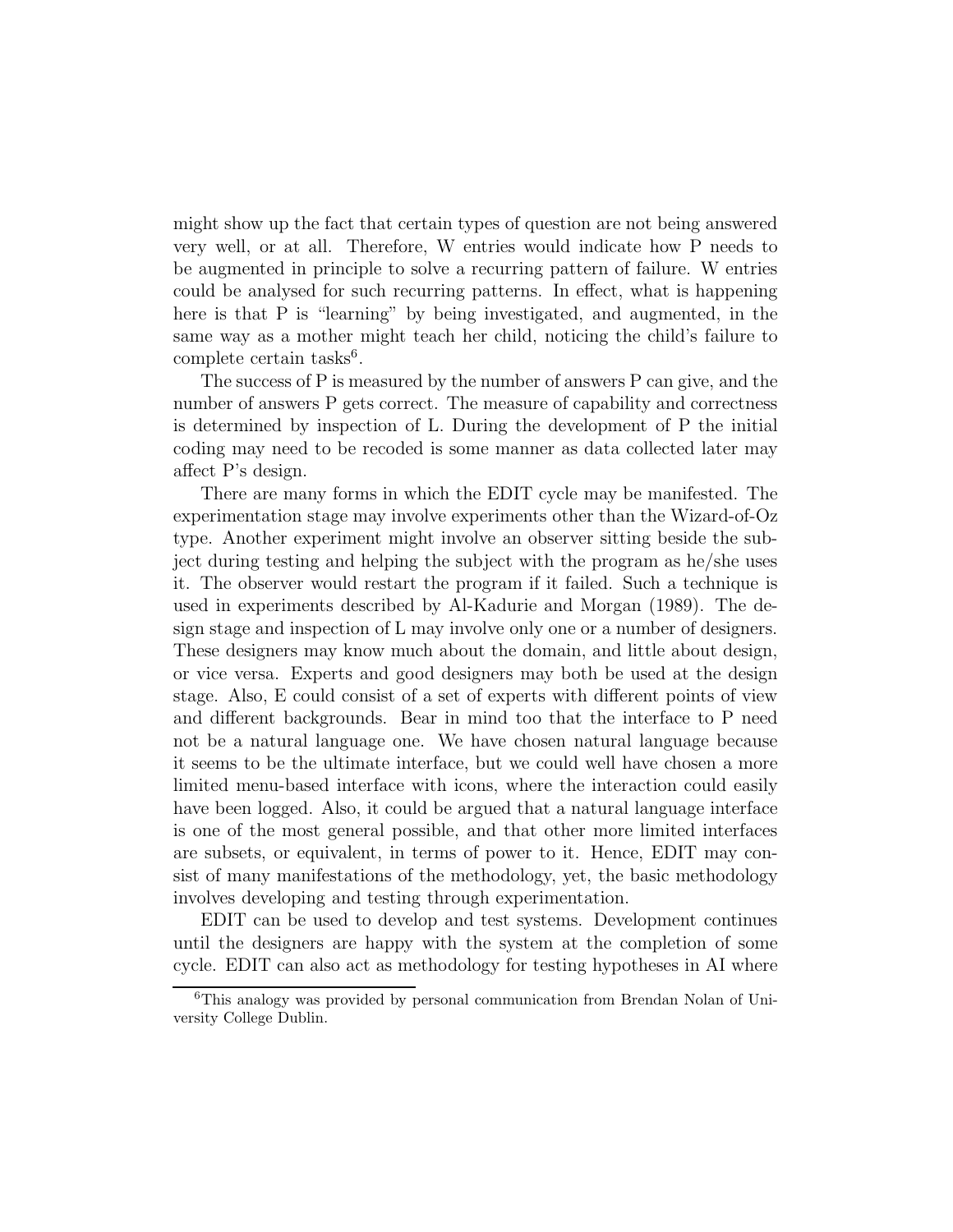might show up the fact that certain types of question are not being answered very well, or at all. Therefore, W entries would indicate how P needs to be augmented in principle to solve a recurring pattern of failure. W entries could be analysed for such recurring patterns. In effect, what is happening here is that P is "learning" by being investigated, and augmented, in the same way as a mother might teach her child, noticing the child's failure to  $\text{complete certain tasks}^6.$ 

The success of P is measured by the number of answers P can give, and the number of answers P gets correct. The measure of capability and correctness is determined by inspection of L. During the development of P the initial coding may need to be recoded is some manner as data collected later may affect P's design.

There are many forms in which the EDIT cycle may be manifested. The experimentation stage may involve experiments other than the Wizard-of-Oz type. Another experiment might involve an observer sitting beside the subject during testing and helping the subject with the program as he/she uses it. The observer would restart the program if it failed. Such a technique is used in experiments described by Al-Kadurie and Morgan (1989). The design stage and inspection of L may involve only one or a number of designers. These designers may know much about the domain, and little about design, or vice versa. Experts and good designers may both be used at the design stage. Also, E could consist of a set of experts with different points of view and different backgrounds. Bear in mind too that the interface to P need not be a natural language one. We have chosen natural language because it seems to be the ultimate interface, but we could well have chosen a more limited menu-based interface with icons, where the interaction could easily have been logged. Also, it could be argued that a natural language interface is one of the most general possible, and that other more limited interfaces are subsets, or equivalent, in terms of power to it. Hence, EDIT may consist of many manifestations of the methodology, yet, the basic methodology involves developing and testing through experimentation.

EDIT can be used to develop and test systems. Development continues until the designers are happy with the system at the completion of some cycle. EDIT can also act as methodology for testing hypotheses in AI where

<sup>6</sup>This analogy was provided by personal communication from Brendan Nolan of University College Dublin.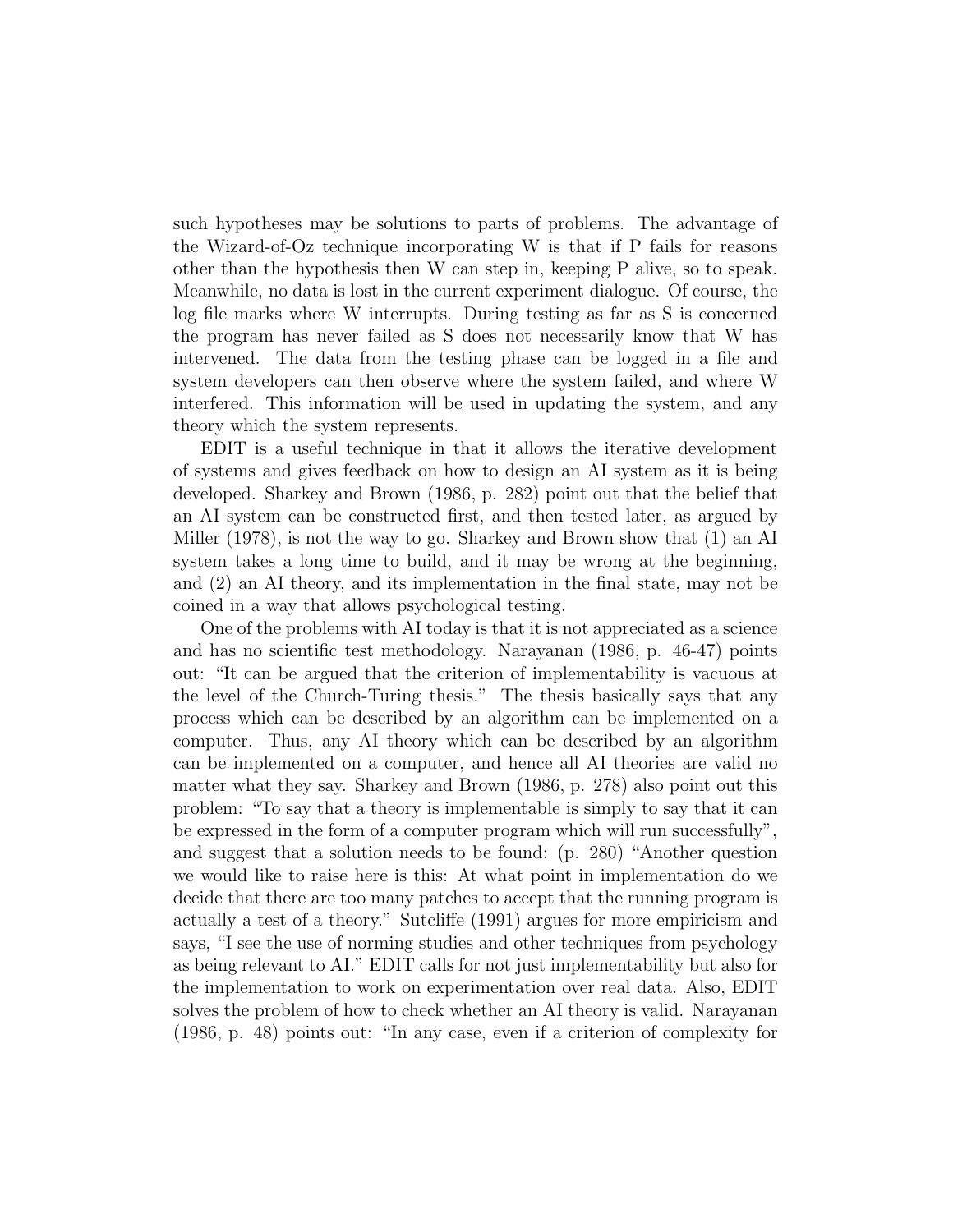such hypotheses may be solutions to parts of problems. The advantage of the Wizard-of-Oz technique incorporating W is that if P fails for reasons other than the hypothesis then W can step in, keeping P alive, so to speak. Meanwhile, no data is lost in the current experiment dialogue. Of course, the log file marks where W interrupts. During testing as far as S is concerned the program has never failed as S does not necessarily know that W has intervened. The data from the testing phase can be logged in a file and system developers can then observe where the system failed, and where W interfered. This information will be used in updating the system, and any theory which the system represents.

EDIT is a useful technique in that it allows the iterative development of systems and gives feedback on how to design an AI system as it is being developed. Sharkey and Brown (1986, p. 282) point out that the belief that an AI system can be constructed first, and then tested later, as argued by Miller (1978), is not the way to go. Sharkey and Brown show that (1) an AI system takes a long time to build, and it may be wrong at the beginning, and (2) an AI theory, and its implementation in the final state, may not be coined in a way that allows psychological testing.

One of the problems with AI today is that it is not appreciated as a science and has no scientific test methodology. Narayanan (1986, p. 46-47) points out: "It can be argued that the criterion of implementability is vacuous at the level of the Church-Turing thesis." The thesis basically says that any process which can be described by an algorithm can be implemented on a computer. Thus, any AI theory which can be described by an algorithm can be implemented on a computer, and hence all AI theories are valid no matter what they say. Sharkey and Brown (1986, p. 278) also point out this problem: "To say that a theory is implementable is simply to say that it can be expressed in the form of a computer program which will run successfully", and suggest that a solution needs to be found: (p. 280) "Another question we would like to raise here is this: At what point in implementation do we decide that there are too many patches to accept that the running program is actually a test of a theory." Sutcliffe (1991) argues for more empiricism and says, "I see the use of norming studies and other techniques from psychology as being relevant to AI." EDIT calls for not just implementability but also for the implementation to work on experimentation over real data. Also, EDIT solves the problem of how to check whether an AI theory is valid. Narayanan (1986, p. 48) points out: "In any case, even if a criterion of complexity for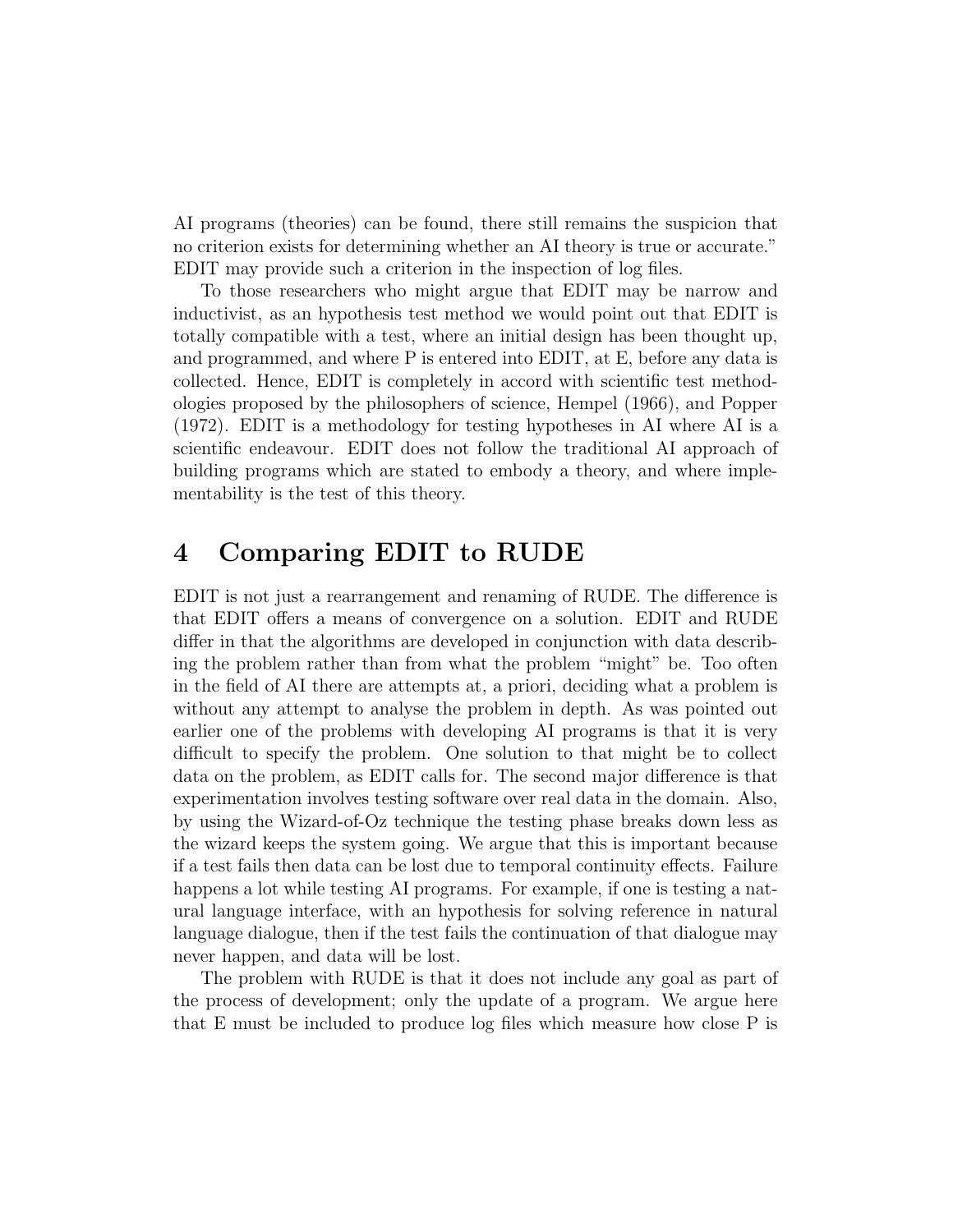AI programs (theories) can be found, there still remains the suspicion that no criterion exists for determining whether an AI theory is true or accurate." EDIT may provide such a criterion in the inspection of log files.

To those researchers who might argue that EDIT may be narrow and inductivist, as an hypothesis test method we would point out that EDIT is totally compatible with a test, where an initial design has been thought up, and programmed, and where P is entered into EDIT, at E, before any data is collected. Hence, EDIT is completely in accord with scientific test methodologies proposed by the philosophers of science, Hempel (1966), and Popper (1972). EDIT is a methodology for testing hypotheses in AI where AI is a scientific endeavour. EDIT does not follow the traditional AI approach of building programs which are stated to embody a theory, and where implementability is the test of this theory.

## 4 Comparing EDIT to RUDE

EDIT is not just a rearrangement and renaming of RUDE. The difference is that EDIT offers a means of convergence on a solution. EDIT and RUDE differ in that the algorithms are developed in conjunction with data describing the problem rather than from what the problem "might" be. Too often in the field of AI there are attempts at, a priori, deciding what a problem is without any attempt to analyse the problem in depth. As was pointed out earlier one of the problems with developing AI programs is that it is very difficult to specify the problem. One solution to that might be to collect data on the problem, as EDIT calls for. The second major difference is that experimentation involves testing software over real data in the domain. Also, by using the Wizard-of-Oz technique the testing phase breaks down less as the wizard keeps the system going. We argue that this is important because if a test fails then data can be lost due to temporal continuity effects. Failure happens a lot while testing AI programs. For example, if one is testing a natural language interface, with an hypothesis for solving reference in natural language dialogue, then if the test fails the continuation of that dialogue may never happen, and data will be lost.

The problem with RUDE is that it does not include any goal as part of the process of development; only the update of a program. We argue here that E must be included to produce log files which measure how close P is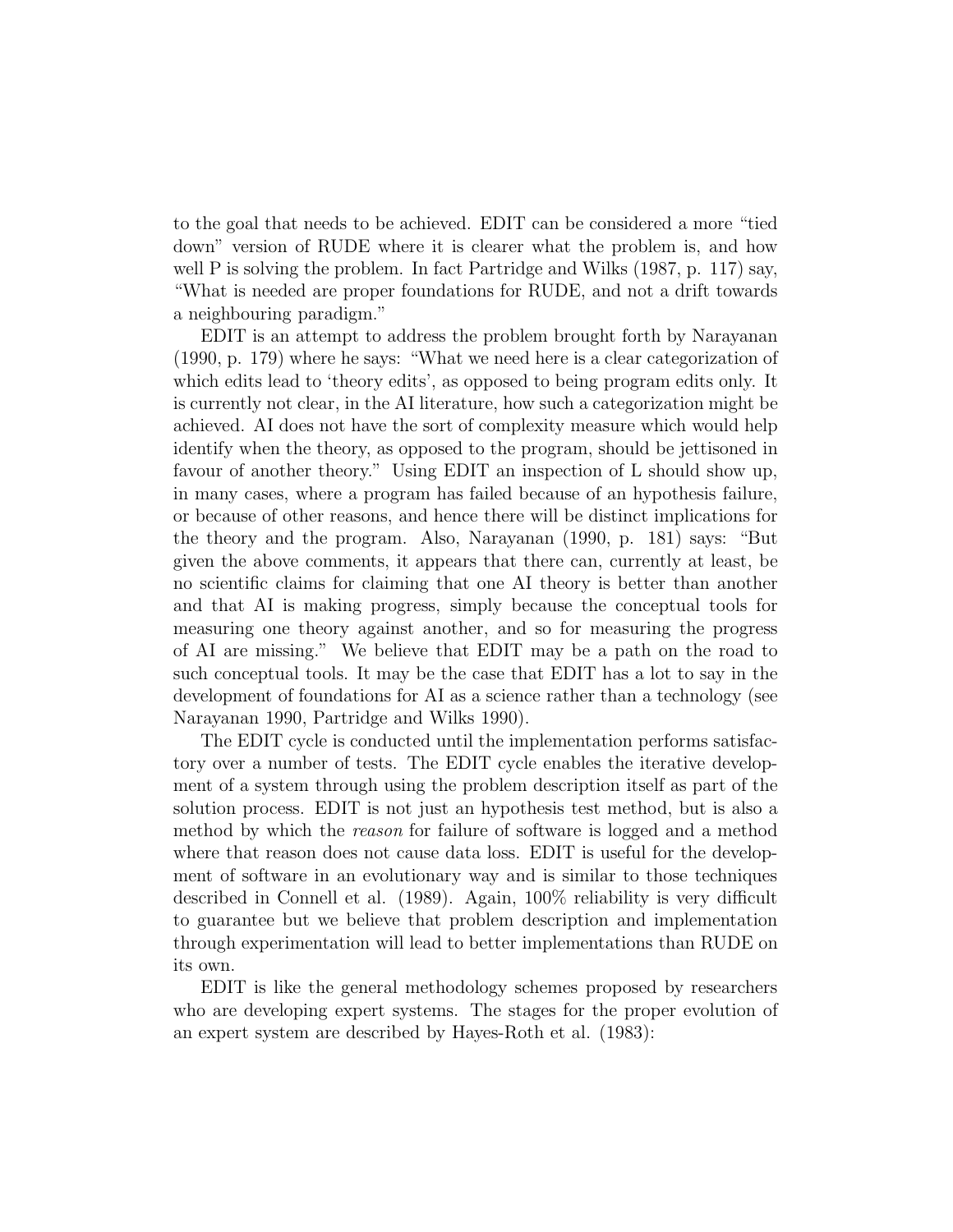to the goal that needs to be achieved. EDIT can be considered a more "tied down" version of RUDE where it is clearer what the problem is, and how well P is solving the problem. In fact Partridge and Wilks (1987, p. 117) say, "What is needed are proper foundations for RUDE, and not a drift towards a neighbouring paradigm."

EDIT is an attempt to address the problem brought forth by Narayanan (1990, p. 179) where he says: "What we need here is a clear categorization of which edits lead to 'theory edits', as opposed to being program edits only. It is currently not clear, in the AI literature, how such a categorization might be achieved. AI does not have the sort of complexity measure which would help identify when the theory, as opposed to the program, should be jettisoned in favour of another theory." Using EDIT an inspection of L should show up, in many cases, where a program has failed because of an hypothesis failure, or because of other reasons, and hence there will be distinct implications for the theory and the program. Also, Narayanan (1990, p. 181) says: "But given the above comments, it appears that there can, currently at least, be no scientific claims for claiming that one AI theory is better than another and that AI is making progress, simply because the conceptual tools for measuring one theory against another, and so for measuring the progress of AI are missing." We believe that EDIT may be a path on the road to such conceptual tools. It may be the case that EDIT has a lot to say in the development of foundations for AI as a science rather than a technology (see Narayanan 1990, Partridge and Wilks 1990).

The EDIT cycle is conducted until the implementation performs satisfactory over a number of tests. The EDIT cycle enables the iterative development of a system through using the problem description itself as part of the solution process. EDIT is not just an hypothesis test method, but is also a method by which the *reason* for failure of software is logged and a method where that reason does not cause data loss. EDIT is useful for the development of software in an evolutionary way and is similar to those techniques described in Connell et al. (1989). Again, 100% reliability is very difficult to guarantee but we believe that problem description and implementation through experimentation will lead to better implementations than RUDE on its own.

EDIT is like the general methodology schemes proposed by researchers who are developing expert systems. The stages for the proper evolution of an expert system are described by Hayes-Roth et al. (1983):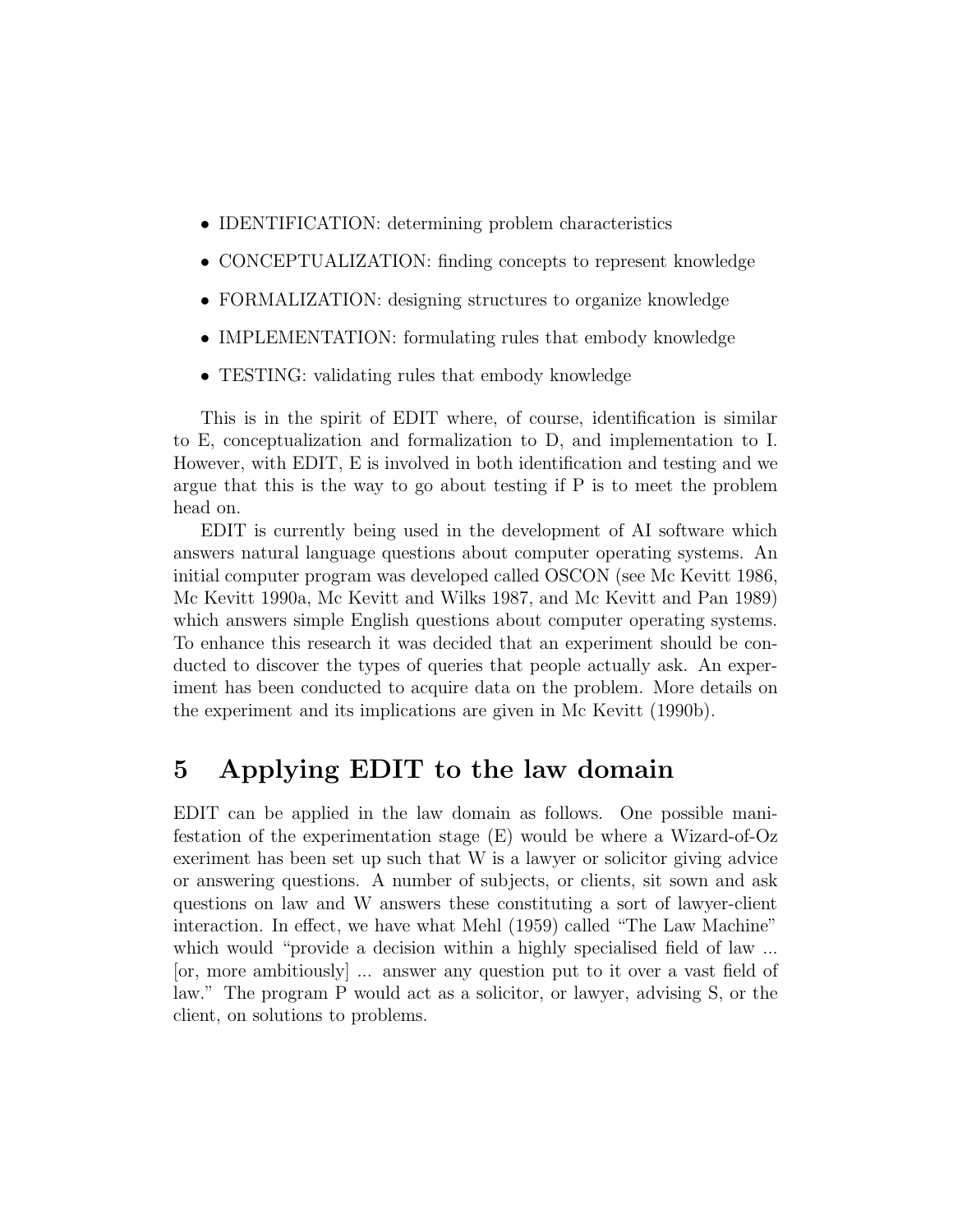- **IDENTIFICATION**: determining problem characteristics
- CONCEPTUALIZATION: finding concepts to represent knowledge
- FORMALIZATION: designing structures to organize knowledge
- IMPLEMENTATION: formulating rules that embody knowledge
- TESTING: validating rules that embody knowledge

This is in the spirit of EDIT where, of course, identification is similar to E, conceptualization and formalization to D, and implementation to I. However, with EDIT, E is involved in both identification and testing and we argue that this is the way to go about testing if P is to meet the problem head on.

EDIT is currently being used in the development of AI software which answers natural language questions about computer operating systems. An initial computer program was developed called OSCON (see Mc Kevitt 1986, Mc Kevitt 1990a, Mc Kevitt and Wilks 1987, and Mc Kevitt and Pan 1989) which answers simple English questions about computer operating systems. To enhance this research it was decided that an experiment should be conducted to discover the types of queries that people actually ask. An experiment has been conducted to acquire data on the problem. More details on the experiment and its implications are given in Mc Kevitt (1990b).

## 5 Applying EDIT to the law domain

EDIT can be applied in the law domain as follows. One possible manifestation of the experimentation stage (E) would be where a Wizard-of-Oz exeriment has been set up such that W is a lawyer or solicitor giving advice or answering questions. A number of subjects, or clients, sit sown and ask questions on law and W answers these constituting a sort of lawyer-client interaction. In effect, we have what Mehl (1959) called "The Law Machine" which would "provide a decision within a highly specialised field of law ... [or, more ambitiously] ... answer any question put to it over a vast field of law." The program P would act as a solicitor, or lawyer, advising S, or the client, on solutions to problems.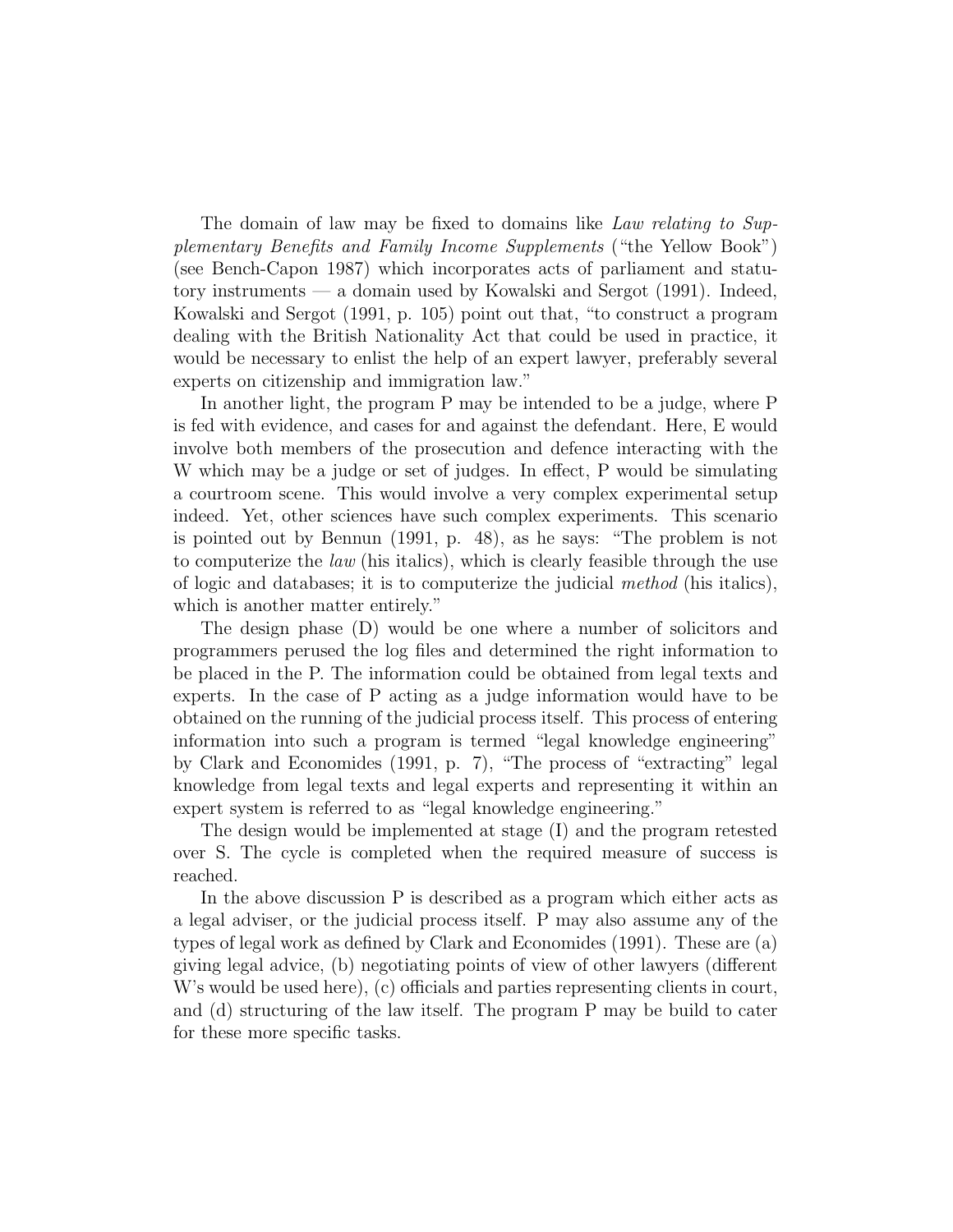The domain of law may be fixed to domains like *Law relating to Supplementary Benefits and Family Income Supplements* ("the Yellow Book") (see Bench-Capon 1987) which incorporates acts of parliament and statutory instruments — a domain used by Kowalski and Sergot (1991). Indeed, Kowalski and Sergot (1991, p. 105) point out that, "to construct a program dealing with the British Nationality Act that could be used in practice, it would be necessary to enlist the help of an expert lawyer, preferably several experts on citizenship and immigration law."

In another light, the program P may be intended to be a judge, where P is fed with evidence, and cases for and against the defendant. Here, E would involve both members of the prosecution and defence interacting with the W which may be a judge or set of judges. In effect, P would be simulating a courtroom scene. This would involve a very complex experimental setup indeed. Yet, other sciences have such complex experiments. This scenario is pointed out by Bennun (1991, p. 48), as he says: "The problem is not to computerize the *law* (his italics), which is clearly feasible through the use of logic and databases; it is to computerize the judicial *method* (his italics), which is another matter entirely."

The design phase (D) would be one where a number of solicitors and programmers perused the log files and determined the right information to be placed in the P. The information could be obtained from legal texts and experts. In the case of P acting as a judge information would have to be obtained on the running of the judicial process itself. This process of entering information into such a program is termed "legal knowledge engineering" by Clark and Economides (1991, p. 7), "The process of "extracting" legal knowledge from legal texts and legal experts and representing it within an expert system is referred to as "legal knowledge engineering."

The design would be implemented at stage (I) and the program retested over S. The cycle is completed when the required measure of success is reached.

In the above discussion P is described as a program which either acts as a legal adviser, or the judicial process itself. P may also assume any of the types of legal work as defined by Clark and Economides (1991). These are (a) giving legal advice, (b) negotiating points of view of other lawyers (different W's would be used here), (c) officials and parties representing clients in court, and (d) structuring of the law itself. The program P may be build to cater for these more specific tasks.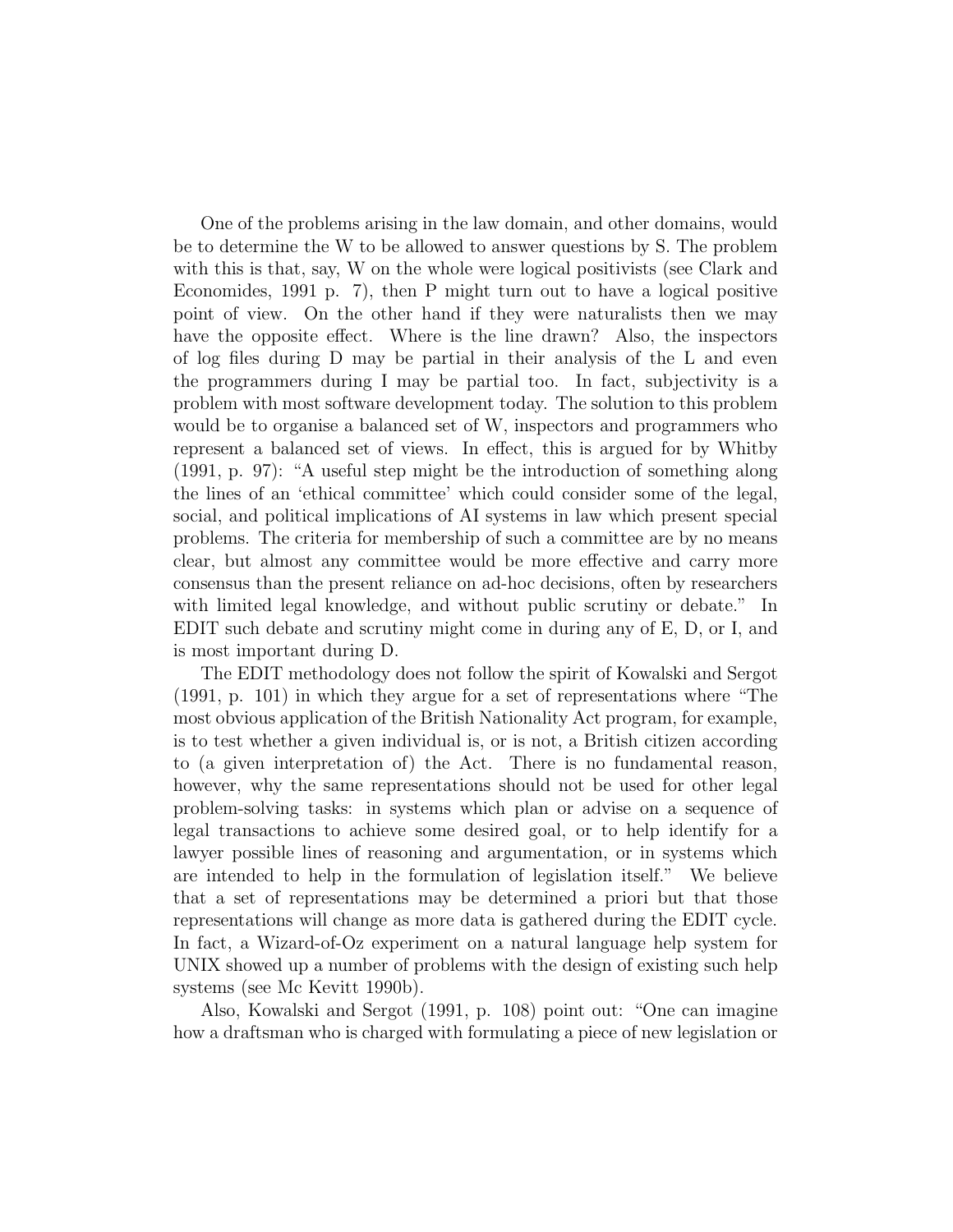One of the problems arising in the law domain, and other domains, would be to determine the W to be allowed to answer questions by S. The problem with this is that, say, W on the whole were logical positivists (see Clark and Economides, 1991 p. 7), then P might turn out to have a logical positive point of view. On the other hand if they were naturalists then we may have the opposite effect. Where is the line drawn? Also, the inspectors of log files during D may be partial in their analysis of the L and even the programmers during I may be partial too. In fact, subjectivity is a problem with most software development today. The solution to this problem would be to organise a balanced set of W, inspectors and programmers who represent a balanced set of views. In effect, this is argued for by Whitby (1991, p. 97): "A useful step might be the introduction of something along the lines of an 'ethical committee' which could consider some of the legal, social, and political implications of AI systems in law which present special problems. The criteria for membership of such a committee are by no means clear, but almost any committee would be more effective and carry more consensus than the present reliance on ad-hoc decisions, often by researchers with limited legal knowledge, and without public scrutiny or debate." In EDIT such debate and scrutiny might come in during any of E, D, or I, and is most important during D.

The EDIT methodology does not follow the spirit of Kowalski and Sergot (1991, p. 101) in which they argue for a set of representations where "The most obvious application of the British Nationality Act program, for example, is to test whether a given individual is, or is not, a British citizen according to (a given interpretation of) the Act. There is no fundamental reason, however, why the same representations should not be used for other legal problem-solving tasks: in systems which plan or advise on a sequence of legal transactions to achieve some desired goal, or to help identify for a lawyer possible lines of reasoning and argumentation, or in systems which are intended to help in the formulation of legislation itself." We believe that a set of representations may be determined a priori but that those representations will change as more data is gathered during the EDIT cycle. In fact, a Wizard-of-Oz experiment on a natural language help system for UNIX showed up a number of problems with the design of existing such help systems (see Mc Kevitt 1990b).

Also, Kowalski and Sergot (1991, p. 108) point out: "One can imagine how a draftsman who is charged with formulating a piece of new legislation or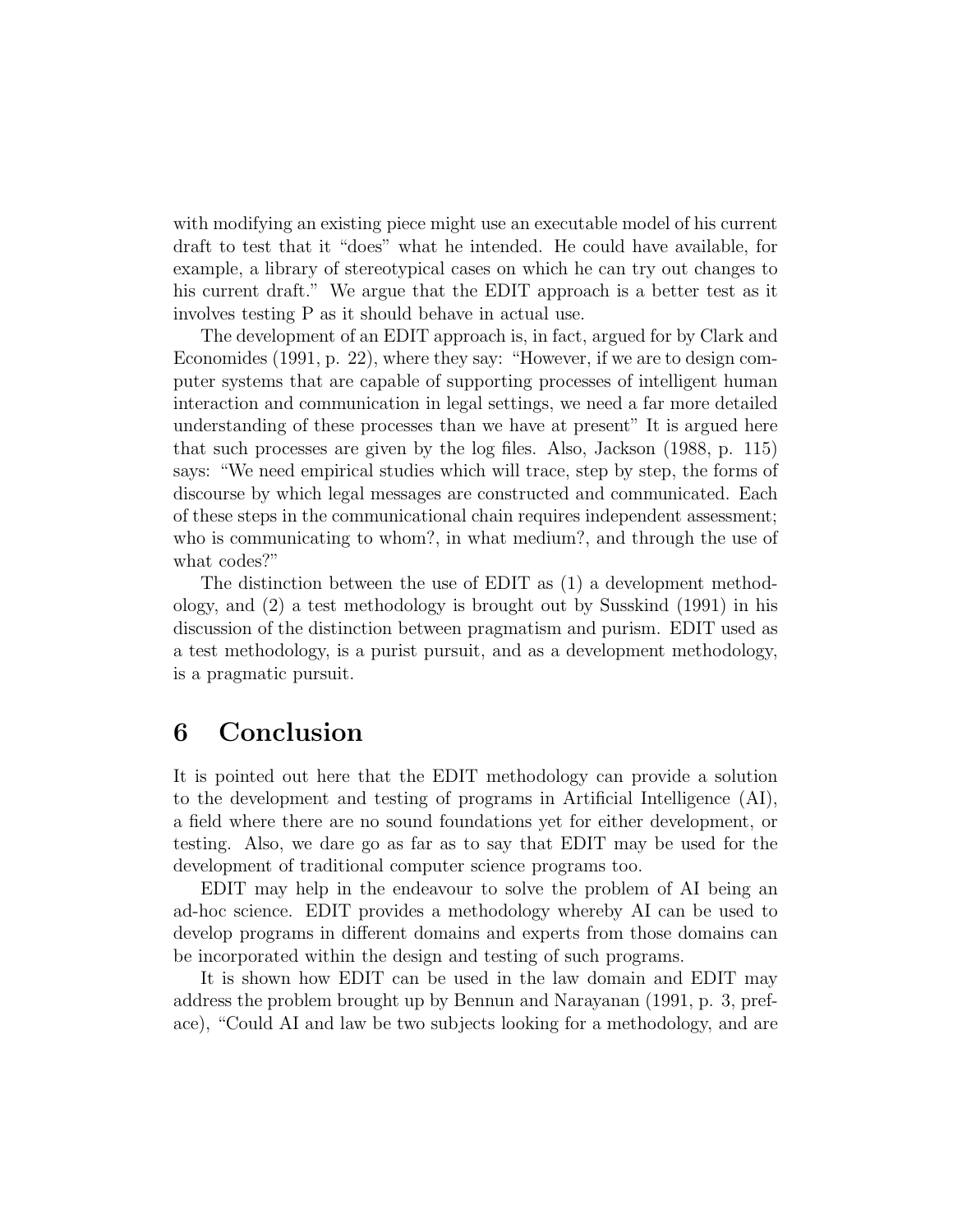with modifying an existing piece might use an executable model of his current draft to test that it "does" what he intended. He could have available, for example, a library of stereotypical cases on which he can try out changes to his current draft." We argue that the EDIT approach is a better test as it involves testing P as it should behave in actual use.

The development of an EDIT approach is, in fact, argued for by Clark and Economides (1991, p. 22), where they say: "However, if we are to design computer systems that are capable of supporting processes of intelligent human interaction and communication in legal settings, we need a far more detailed understanding of these processes than we have at present" It is argued here that such processes are given by the log files. Also, Jackson (1988, p. 115) says: "We need empirical studies which will trace, step by step, the forms of discourse by which legal messages are constructed and communicated. Each of these steps in the communicational chain requires independent assessment; who is communicating to whom?, in what medium?, and through the use of what codes?"

The distinction between the use of EDIT as (1) a development methodology, and (2) a test methodology is brought out by Susskind (1991) in his discussion of the distinction between pragmatism and purism. EDIT used as a test methodology, is a purist pursuit, and as a development methodology, is a pragmatic pursuit.

## 6 Conclusion

It is pointed out here that the EDIT methodology can provide a solution to the development and testing of programs in Artificial Intelligence (AI), a field where there are no sound foundations yet for either development, or testing. Also, we dare go as far as to say that EDIT may be used for the development of traditional computer science programs too.

EDIT may help in the endeavour to solve the problem of AI being an ad-hoc science. EDIT provides a methodology whereby AI can be used to develop programs in different domains and experts from those domains can be incorporated within the design and testing of such programs.

It is shown how EDIT can be used in the law domain and EDIT may address the problem brought up by Bennun and Narayanan (1991, p. 3, preface), "Could AI and law be two subjects looking for a methodology, and are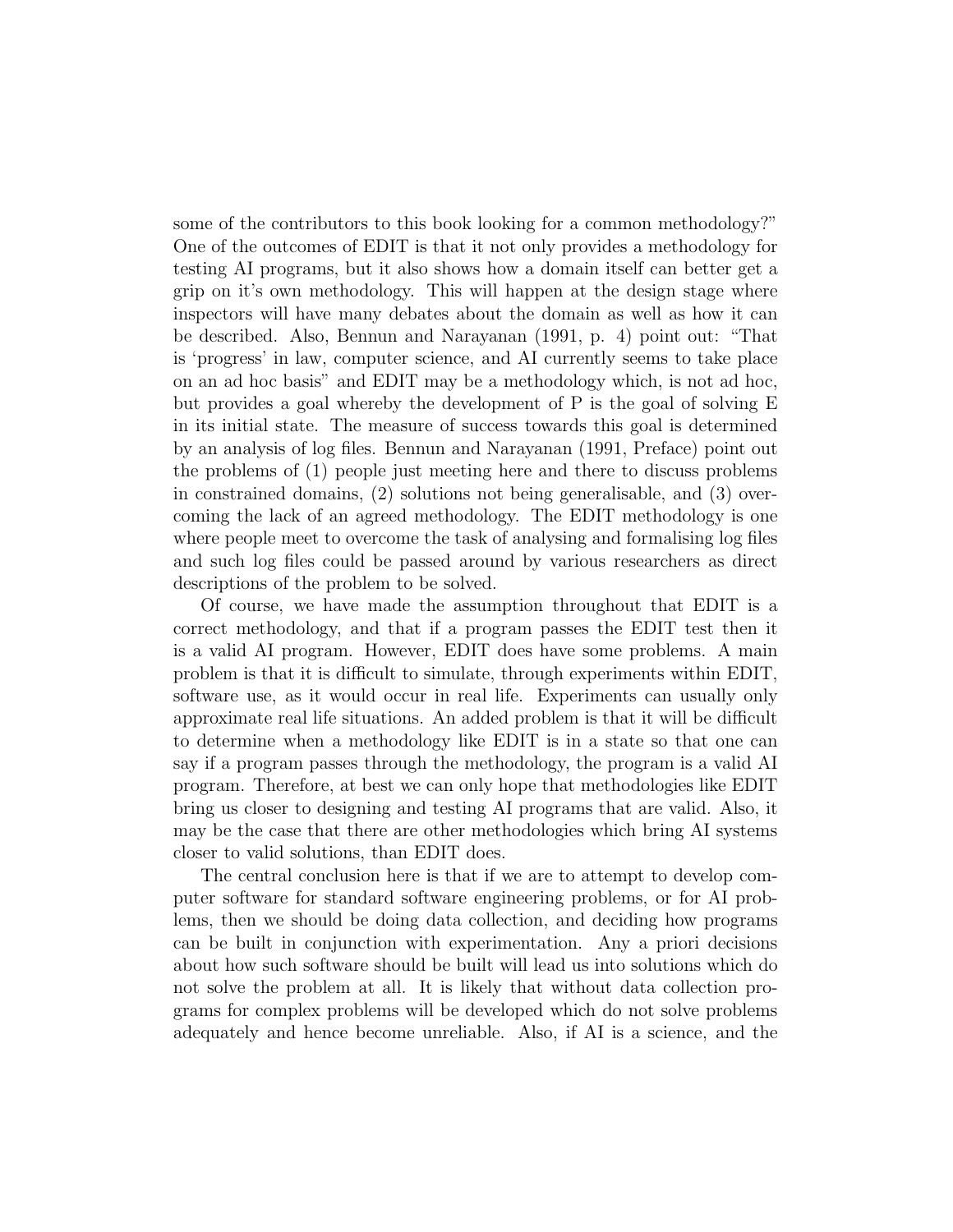some of the contributors to this book looking for a common methodology?" One of the outcomes of EDIT is that it not only provides a methodology for testing AI programs, but it also shows how a domain itself can better get a grip on it's own methodology. This will happen at the design stage where inspectors will have many debates about the domain as well as how it can be described. Also, Bennun and Narayanan (1991, p. 4) point out: "That is 'progress' in law, computer science, and AI currently seems to take place on an ad hoc basis" and EDIT may be a methodology which, is not ad hoc, but provides a goal whereby the development of P is the goal of solving E in its initial state. The measure of success towards this goal is determined by an analysis of log files. Bennun and Narayanan (1991, Preface) point out the problems of (1) people just meeting here and there to discuss problems in constrained domains, (2) solutions not being generalisable, and (3) overcoming the lack of an agreed methodology. The EDIT methodology is one where people meet to overcome the task of analysing and formalising log files and such log files could be passed around by various researchers as direct descriptions of the problem to be solved.

Of course, we have made the assumption throughout that EDIT is a correct methodology, and that if a program passes the EDIT test then it is a valid AI program. However, EDIT does have some problems. A main problem is that it is difficult to simulate, through experiments within EDIT, software use, as it would occur in real life. Experiments can usually only approximate real life situations. An added problem is that it will be difficult to determine when a methodology like EDIT is in a state so that one can say if a program passes through the methodology, the program is a valid AI program. Therefore, at best we can only hope that methodologies like EDIT bring us closer to designing and testing AI programs that are valid. Also, it may be the case that there are other methodologies which bring AI systems closer to valid solutions, than EDIT does.

The central conclusion here is that if we are to attempt to develop computer software for standard software engineering problems, or for AI problems, then we should be doing data collection, and deciding how programs can be built in conjunction with experimentation. Any a priori decisions about how such software should be built will lead us into solutions which do not solve the problem at all. It is likely that without data collection programs for complex problems will be developed which do not solve problems adequately and hence become unreliable. Also, if AI is a science, and the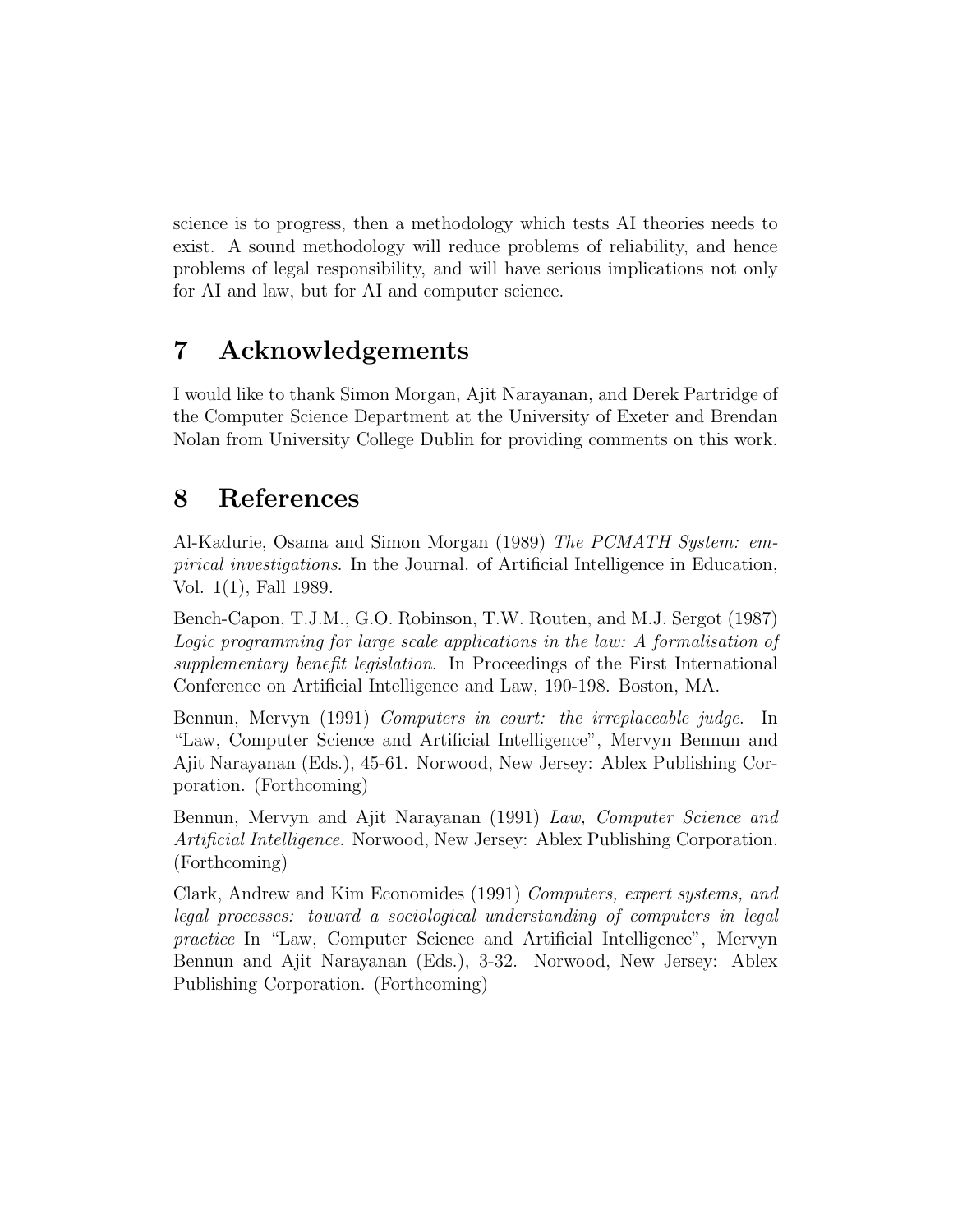science is to progress, then a methodology which tests AI theories needs to exist. A sound methodology will reduce problems of reliability, and hence problems of legal responsibility, and will have serious implications not only for AI and law, but for AI and computer science.

# 7 Acknowledgements

I would like to thank Simon Morgan, Ajit Narayanan, and Derek Partridge of the Computer Science Department at the University of Exeter and Brendan Nolan from University College Dublin for providing comments on this work.

## 8 References

Al-Kadurie, Osama and Simon Morgan (1989) *The PCMATH System: empirical investigations*. In the Journal. of Artificial Intelligence in Education, Vol. 1(1), Fall 1989.

Bench-Capon, T.J.M., G.O. Robinson, T.W. Routen, and M.J. Sergot (1987) *Logic programming for large scale applications in the law: A formalisation of supplementary benefit legislation*. In Proceedings of the First International Conference on Artificial Intelligence and Law, 190-198. Boston, MA.

Bennun, Mervyn (1991) *Computers in court: the irreplaceable judge*. In "Law, Computer Science and Artificial Intelligence", Mervyn Bennun and Ajit Narayanan (Eds.), 45-61. Norwood, New Jersey: Ablex Publishing Corporation. (Forthcoming)

Bennun, Mervyn and Ajit Narayanan (1991) *Law, Computer Science and Artificial Intelligence*. Norwood, New Jersey: Ablex Publishing Corporation. (Forthcoming)

Clark, Andrew and Kim Economides (1991) *Computers, expert systems, and legal processes: toward a sociological understanding of computers in legal practice* In "Law, Computer Science and Artificial Intelligence", Mervyn Bennun and Ajit Narayanan (Eds.), 3-32. Norwood, New Jersey: Ablex Publishing Corporation. (Forthcoming)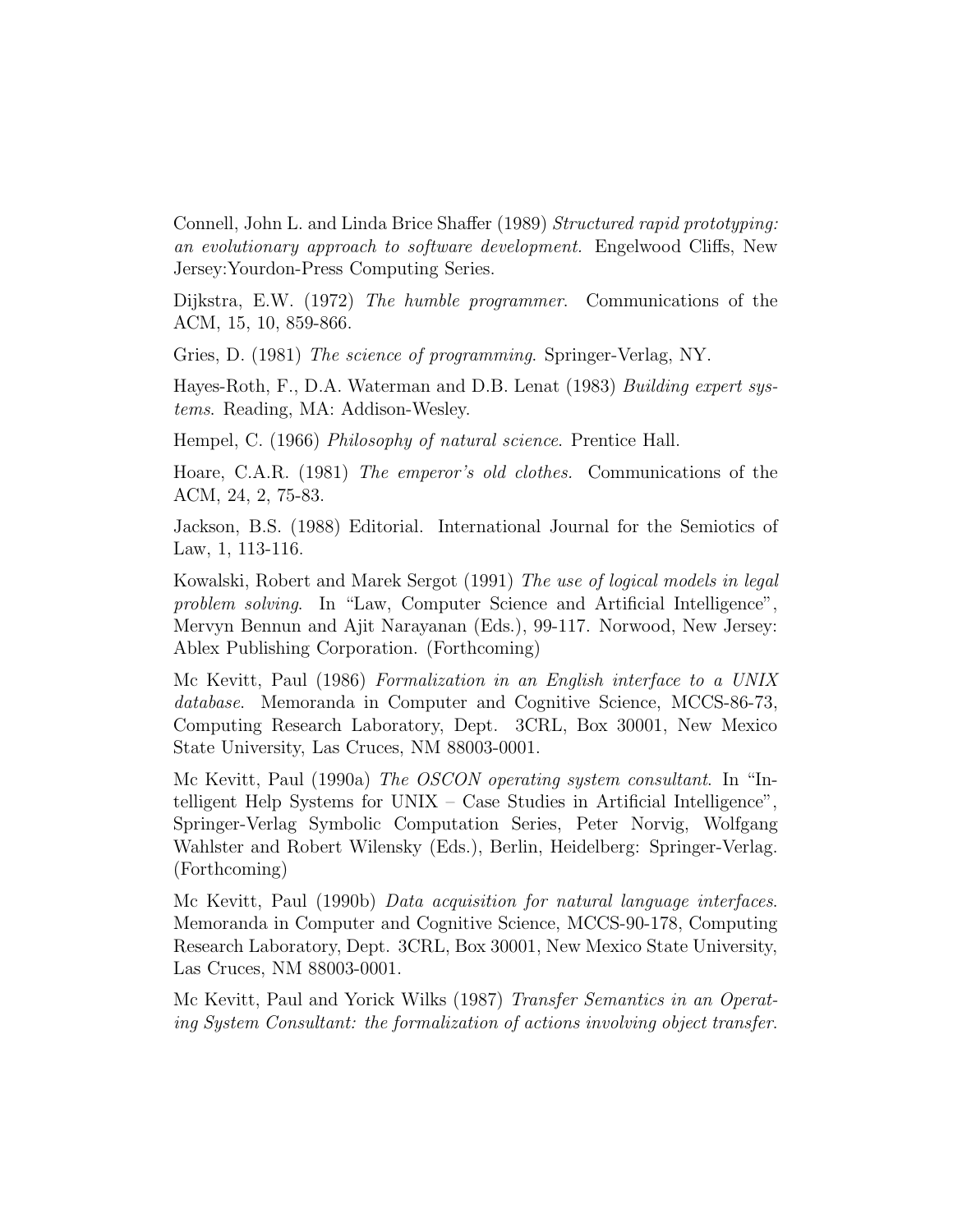Connell, John L. and Linda Brice Shaffer (1989) *Structured rapid prototyping: an evolutionary approach to software development.* Engelwood Cliffs, New Jersey:Yourdon-Press Computing Series.

Dijkstra, E.W. (1972) *The humble programmer*. Communications of the ACM, 15, 10, 859-866.

Gries, D. (1981) *The science of programming*. Springer-Verlag, NY.

Hayes-Roth, F., D.A. Waterman and D.B. Lenat (1983) *Building expert systems*. Reading, MA: Addison-Wesley.

Hempel, C. (1966) *Philosophy of natural science*. Prentice Hall.

Hoare, C.A.R. (1981) *The emperor's old clothes.* Communications of the ACM, 24, 2, 75-83.

Jackson, B.S. (1988) Editorial. International Journal for the Semiotics of Law, 1, 113-116.

Kowalski, Robert and Marek Sergot (1991) *The use of logical models in legal problem solving*. In "Law, Computer Science and Artificial Intelligence", Mervyn Bennun and Ajit Narayanan (Eds.), 99-117. Norwood, New Jersey: Ablex Publishing Corporation. (Forthcoming)

Mc Kevitt, Paul (1986) *Formalization in an English interface to a UNIX database*. Memoranda in Computer and Cognitive Science, MCCS-86-73, Computing Research Laboratory, Dept. 3CRL, Box 30001, New Mexico State University, Las Cruces, NM 88003-0001.

Mc Kevitt, Paul (1990a) *The OSCON operating system consultant*. In "Intelligent Help Systems for UNIX – Case Studies in Artificial Intelligence", Springer-Verlag Symbolic Computation Series, Peter Norvig, Wolfgang Wahlster and Robert Wilensky (Eds.), Berlin, Heidelberg: Springer-Verlag. (Forthcoming)

Mc Kevitt, Paul (1990b) *Data acquisition for natural language interfaces*. Memoranda in Computer and Cognitive Science, MCCS-90-178, Computing Research Laboratory, Dept. 3CRL, Box 30001, New Mexico State University, Las Cruces, NM 88003-0001.

Mc Kevitt, Paul and Yorick Wilks (1987) *Transfer Semantics in an Operating System Consultant: the formalization of actions involving object transfer*.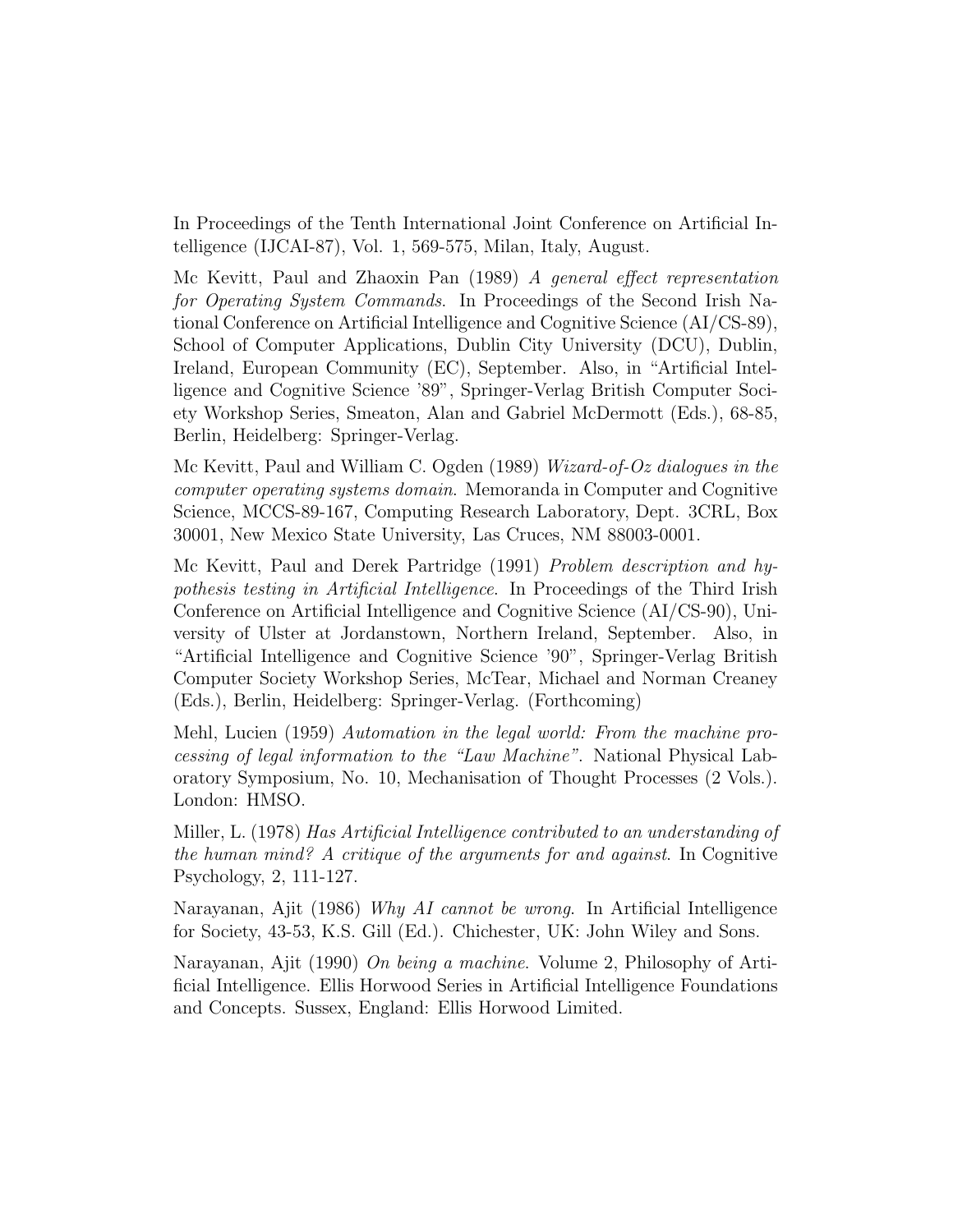In Proceedings of the Tenth International Joint Conference on Artificial Intelligence (IJCAI-87), Vol. 1, 569-575, Milan, Italy, August.

Mc Kevitt, Paul and Zhaoxin Pan (1989) *A general effect representation for Operating System Commands*. In Proceedings of the Second Irish National Conference on Artificial Intelligence and Cognitive Science (AI/CS-89), School of Computer Applications, Dublin City University (DCU), Dublin, Ireland, European Community (EC), September. Also, in "Artificial Intelligence and Cognitive Science '89", Springer-Verlag British Computer Society Workshop Series, Smeaton, Alan and Gabriel McDermott (Eds.), 68-85, Berlin, Heidelberg: Springer-Verlag.

Mc Kevitt, Paul and William C. Ogden (1989) *Wizard-of-Oz dialogues in the computer operating systems domain*. Memoranda in Computer and Cognitive Science, MCCS-89-167, Computing Research Laboratory, Dept. 3CRL, Box 30001, New Mexico State University, Las Cruces, NM 88003-0001.

Mc Kevitt, Paul and Derek Partridge (1991) *Problem description and hypothesis testing in Artificial Intelligence*. In Proceedings of the Third Irish Conference on Artificial Intelligence and Cognitive Science (AI/CS-90), University of Ulster at Jordanstown, Northern Ireland, September. Also, in "Artificial Intelligence and Cognitive Science '90", Springer-Verlag British Computer Society Workshop Series, McTear, Michael and Norman Creaney (Eds.), Berlin, Heidelberg: Springer-Verlag. (Forthcoming)

Mehl, Lucien (1959) *Automation in the legal world: From the machine processing of legal information to the "Law Machine"*. National Physical Laboratory Symposium, No. 10, Mechanisation of Thought Processes (2 Vols.). London: HMSO.

Miller, L. (1978) *Has Artificial Intelligence contributed to an understanding of the human mind? A critique of the arguments for and against*. In Cognitive Psychology, 2, 111-127.

Narayanan, Ajit (1986) *Why AI cannot be wrong*. In Artificial Intelligence for Society, 43-53, K.S. Gill (Ed.). Chichester, UK: John Wiley and Sons.

Narayanan, Ajit (1990) *On being a machine*. Volume 2, Philosophy of Artificial Intelligence. Ellis Horwood Series in Artificial Intelligence Foundations and Concepts. Sussex, England: Ellis Horwood Limited.